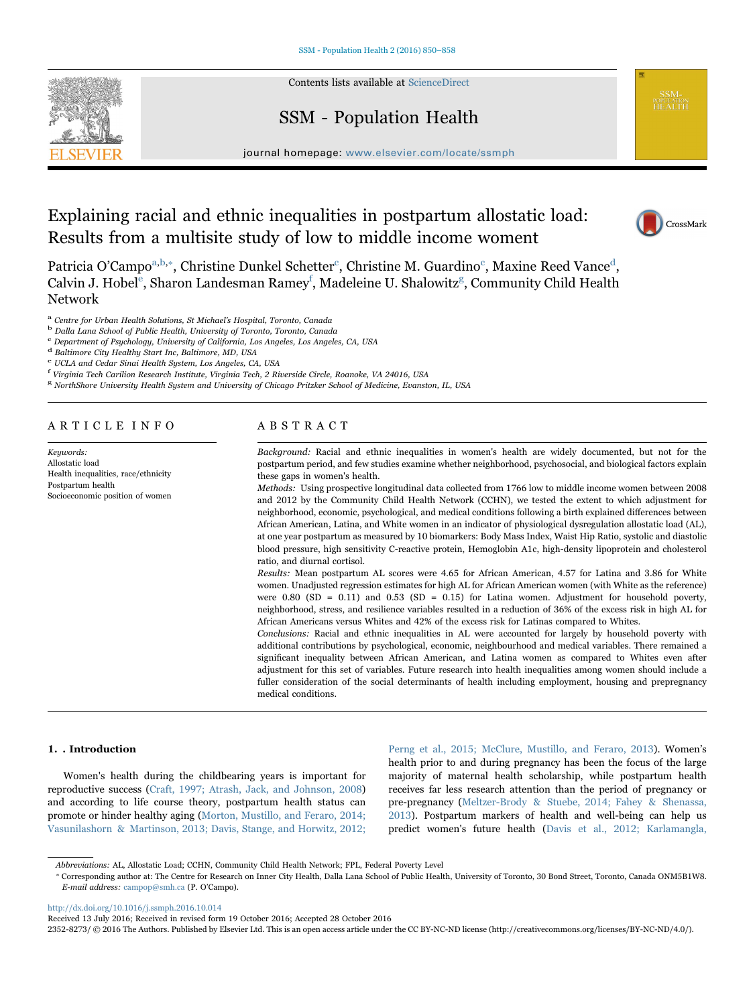

Contents lists available at [ScienceDirect](http://www.sciencedirect.com/science/journal/23528273)

# SSM - Population Health

journal homepage: [www.elsevier.com/locate/ssmph](http://www.elsevier.com/locate/ssmph)



# Explaining racial and ethnic inequalities in postpartum allostatic load: Results from a multisite study of low to middle income woment

P[a](#page-0-0)tricia O'Campo<sup>a[,b,](#page-0-1)</sup>\*, Christine Dunkel S[c](#page-0-3)hetter<sup>c</sup>, Christine M. Guardino<sup>c</sup>, Maxine Re[ed](#page-0-4) Vance<sup>d</sup>, Calvin J. Hobel<sup>e</sup>, Sharon Landesman Ramey<sup>f</sup>, Made[le](#page-0-5)ine U. Shalowitz<sup>[g](#page-0-7)</sup>, Community Child Health Network

<span id="page-0-3"></span><span id="page-0-1"></span>

<span id="page-0-0"></span><sup>a</sup> Centre for Urban Health Solutions, St Michael's Hospital, Toronto, Canada<br><sup>b</sup> Dalla Lana School of Public Health, University of Toronto, Toronto, Canada<br><sup>c</sup> Department of Psychology, University of California, Los Ange

<span id="page-0-5"></span>

<span id="page-0-4"></span> $^{\rm d}$  Baltimore City Healthy Start Inc, Baltimore, MD, USA  $^{\rm e}$  UCLA and Cedar Sinai Health System, Los Angeles, CA, USA

<span id="page-0-6"></span>f Virginia Tech Carilion Research Institute, Virginia Tech, 2 Riverside Circle, Roanoke, VA 24016, USA

<span id="page-0-7"></span><sup>g</sup> NorthShore University Health System and University of Chicago Pritzker School of Medicine, Evanston, IL, USA

### ARTICLE INFO

Keywords: Allostatic load Health inequalities, race/ethnicity Postpartum health Socioeconomic position of women

## ABSTRACT

Background: Racial and ethnic inequalities in women's health are widely documented, but not for the postpartum period, and few studies examine whether neighborhood, psychosocial, and biological factors explain these gaps in women's health.

Methods: Using prospective longitudinal data collected from 1766 low to middle income women between 2008 and 2012 by the Community Child Health Network (CCHN), we tested the extent to which adjustment for neighborhood, economic, psychological, and medical conditions following a birth explained differences between African American, Latina, and White women in an indicator of physiological dysregulation allostatic load (AL), at one year postpartum as measured by 10 biomarkers: Body Mass Index, Waist Hip Ratio, systolic and diastolic blood pressure, high sensitivity C-reactive protein, Hemoglobin A1c, high-density lipoprotein and cholesterol ratio, and diurnal cortisol.

Results: Mean postpartum AL scores were 4.65 for African American, 4.57 for Latina and 3.86 for White women. Unadjusted regression estimates for high AL for African American women (with White as the reference) were 0.80 (SD = 0.11) and 0.53 (SD = 0.15) for Latina women. Adjustment for household poverty, neighborhood, stress, and resilience variables resulted in a reduction of 36% of the excess risk in high AL for African Americans versus Whites and 42% of the excess risk for Latinas compared to Whites.

Conclusions: Racial and ethnic inequalities in AL were accounted for largely by household poverty with additional contributions by psychological, economic, neighbourhood and medical variables. There remained a significant inequality between African American, and Latina women as compared to Whites even after adjustment for this set of variables. Future research into health inequalities among women should include a fuller consideration of the social determinants of health including employment, housing and prepregnancy medical conditions.

#### 1. . Introduction

Women's health during the childbearing years is important for reproductive success [\(Craft, 1997; Atrash, Jack, and Johnson, 2008\)](#page-6-0) and according to life course theory, postpartum health status can promote or hinder healthy aging [\(Morton, Mustillo, and Feraro, 2014;](#page-6-1) [Vasunilashorn & Martinson, 2013; Davis, Stange, and Horwitz, 2012;](#page-6-1)

[Perng et al., 2015; McClure, Mustillo, and Feraro, 2013\)](#page-6-1). Women's health prior to and during pregnancy has been the focus of the large majority of maternal health scholarship, while postpartum health receives far less research attention than the period of pregnancy or pre-pregnancy ([Meltzer-Brody & Stuebe, 2014; Fahey & Shenassa,](#page-6-2) [2013\)](#page-6-2). Postpartum markers of health and well-being can help us predict women's future health [\(Davis et al., 2012; Karlamangla,](#page-6-3)

Abbreviations: AL, Allostatic Load; CCHN, Community Child Health Network; FPL, Federal Poverty Level

<span id="page-0-2"></span>⁎ Corresponding author at: The Centre for Research on Inner City Health, Dalla Lana School of Public Health, University of Toronto, 30 Bond Street, Toronto, Canada ONM5B1W8. E-mail address: campop@smh.ca (P. O'Campo).

<http://dx.doi.org/10.1016/j.ssmph.2016.10.014>

Received 13 July 2016; Received in revised form 19 October 2016; Accepted 28 October 2016

2352-8273/ © 2016 The Authors. Published by Elsevier Ltd. This is an open access article under the CC BY-NC-ND license (http://creativecommons.org/licenses/BY-NC-ND/4.0/).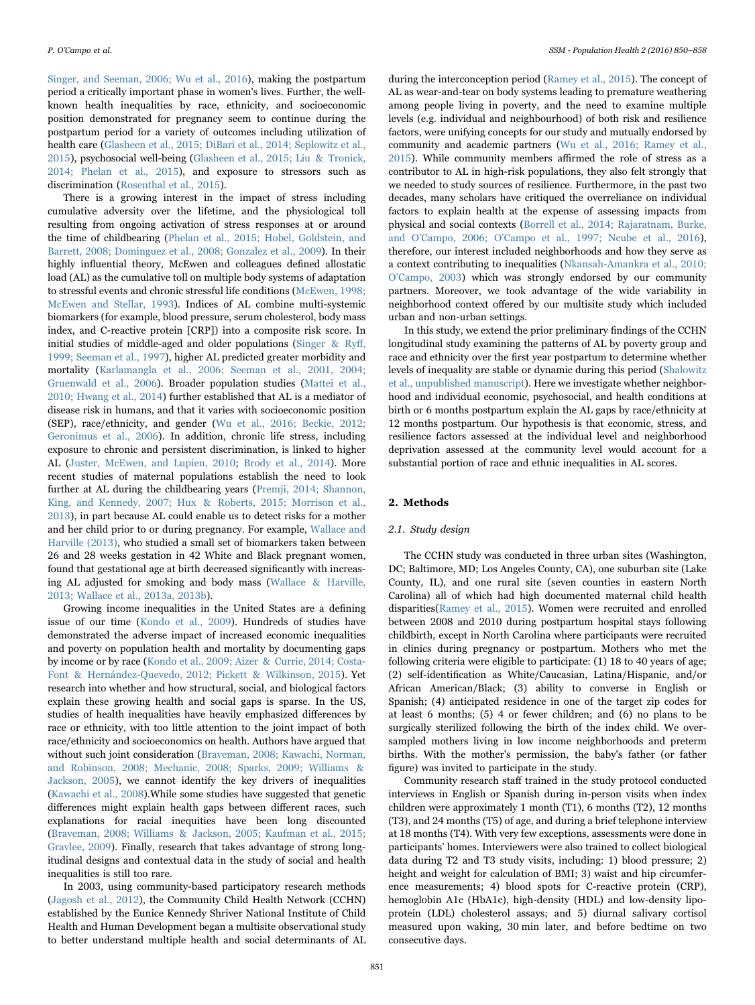[Singer, and Seeman, 2006; Wu et al., 2016](#page-6-3)), making the postpartum period a critically important phase in women's lives. Further, the wellknown health inequalities by race, ethnicity, and socioeconomic position demonstrated for pregnancy seem to continue during the postpartum period for a variety of outcomes including utilization of health care [\(Glasheen et al., 2015; DiBari et al., 2014; Seplowitz et al.,](#page-6-4) [2015\)](#page-6-4), psychosocial well-being ([Glasheen et al., 2015; Liu & Tronick,](#page-6-4) [2014; Phelan et al., 2015](#page-6-4)), and exposure to stressors such as discrimination ([Rosenthal et al., 2015\)](#page-7-0).

There is a growing interest in the impact of stress including cumulative adversity over the lifetime, and the physiological toll resulting from ongoing activation of stress responses at or around the time of childbearing ([Phelan et al., 2015; Hobel, Goldstein, and](#page-7-1) [Barrett, 2008; Dominguez et al., 2008; Gonzalez et al., 2009\)](#page-7-1). In their highly influential theory, McEwen and colleagues defined allostatic load (AL) as the cumulative toll on multiple body systems of adaptation to stressful events and chronic stressful life conditions [\(McEwen, 1998;](#page-7-2) [McEwen and Stellar, 1993](#page-7-2)). Indices of AL combine multi-systemic biomarkers (for example, blood pressure, serum cholesterol, body mass index, and C-reactive protein [CRP]) into a composite risk score. In initial studies of middle-aged and older populations ([Singer & Ry](#page-7-3)ff, [1999; Seeman et al., 1997](#page-7-3)), higher AL predicted greater morbidity and mortality [\(Karlamangla et al., 2006; Seeman et al., 2001, 2004;](#page-6-5) [Gruenwald et al., 2006\)](#page-6-5). Broader population studies [\(Mattei et al.,](#page-7-4) [2010; Hwang et al., 2014](#page-7-4)) further established that AL is a mediator of disease risk in humans, and that it varies with socioeconomic position (SEP), race/ethnicity, and gender [\(Wu et al., 2016; Beckie, 2012;](#page-6-6) [Geronimus et al., 2006](#page-6-6)). In addition, chronic life stress, including exposure to chronic and persistent discrimination, is linked to higher AL ([Juster, McEwen, and Lupien, 2010;](#page-7-5) [Brody et al., 2014\)](#page-7-6). More recent studies of maternal populations establish the need to look further at AL during the childbearing years [\(Premji, 2014; Shannon,](#page-7-7) [King, and Kennedy, 2007; Hux & Roberts, 2015; Morrison et al.,](#page-7-7) [2013\)](#page-7-7), in part because AL could enable us to detect risks for a mother and her child prior to or during pregnancy. For example, [Wallace and](#page-7-8) [Harville \(2013\),](#page-7-8) who studied a small set of biomarkers taken between 26 and 28 weeks gestation in 42 White and Black pregnant women, found that gestational age at birth decreased significantly with increasing AL adjusted for smoking and body mass [\(Wallace & Harville,](#page-7-8) [2013; Wallace et al., 2013a, 2013b\)](#page-7-8).

Growing income inequalities in the United States are a defining issue of our time ([Kondo et al., 2009](#page-7-9)). Hundreds of studies have demonstrated the adverse impact of increased economic inequalities and poverty on population health and mortality by documenting gaps by income or by race [\(Kondo et al., 2009; Aizer & Currie, 2014; Costa-](#page-7-9)[Font & Hernández-Quevedo, 2012; Pickett & Wilkinson, 2015](#page-7-9)). Yet research into whether and how structural, social, and biological factors explain these growing health and social gaps is sparse. In the US, studies of health inequalities have heavily emphasized differences by race or ethnicity, with too little attention to the joint impact of both race/ethnicity and socioeconomics on health. Authors have argued that without such joint consideration ([Braveman, 2008; Kawachi, Norman,](#page-7-10) [and Robinson, 2008; Mechanic, 2008; Sparks, 2009; Williams &](#page-7-10) [Jackson, 2005\)](#page-7-10), we cannot identify the key drivers of inequalities ([Kawachi et al., 2008](#page-7-11)).While some studies have suggested that genetic differences might explain health gaps between different races, such explanations for racial inequities have been long discounted ([Braveman, 2008; Williams & Jackson, 2005; Kaufman et al., 2015;](#page-7-10) [Gravlee, 2009\)](#page-7-10). Finally, research that takes advantage of strong longitudinal designs and contextual data in the study of social and health inequalities is still too rare.

In 2003, using community-based participatory research methods ([Jagosh et al., 2012\)](#page-7-12), the Community Child Health Network (CCHN) established by the Eunice Kennedy Shriver National Institute of Child Health and Human Development began a multisite observational study to better understand multiple health and social determinants of AL

during the interconception period ([Ramey et al., 2015](#page-7-13)). The concept of AL as wear-and-tear on body systems leading to premature weathering among people living in poverty, and the need to examine multiple levels (e.g. individual and neighbourhood) of both risk and resilience factors, were unifying concepts for our study and mutually endorsed by community and academic partners [\(Wu et al., 2016; Ramey et al.,](#page-6-6) [2015\)](#page-6-6). While community members affirmed the role of stress as a contributor to AL in high-risk populations, they also felt strongly that we needed to study sources of resilience. Furthermore, in the past two decades, many scholars have critiqued the overreliance on individual factors to explain health at the expense of assessing impacts from physical and social contexts [\(Borrell et al., 2014; Rajaratnam, Burke,](#page-7-14) and O'Campo, 2006; O'[Campo et al., 1997; Ncube et al., 2016\)](#page-7-14), therefore, our interest included neighborhoods and how they serve as a context contributing to inequalities [\(Nkansah-Amankra et al., 2010;](#page-7-15) O'[Campo, 2003](#page-7-15)) which was strongly endorsed by our community partners. Moreover, we took advantage of the wide variability in neighborhood context offered by our multisite study which included urban and non-urban settings.

In this study, we extend the prior preliminary findings of the CCHN longitudinal study examining the patterns of AL by poverty group and race and ethnicity over the first year postpartum to determine whether levels of inequality are stable or dynamic during this period [\(Shalowitz](#page-7-16) [et al., unpublished manuscript\)](#page-7-16). Here we investigate whether neighborhood and individual economic, psychosocial, and health conditions at birth or 6 months postpartum explain the AL gaps by race/ethnicity at 12 months postpartum. Our hypothesis is that economic, stress, and resilience factors assessed at the individual level and neighborhood deprivation assessed at the community level would account for a substantial portion of race and ethnic inequalities in AL scores.

#### 2. Methods

#### 2.1. Study design

The CCHN study was conducted in three urban sites (Washington, DC; Baltimore, MD; Los Angeles County, CA), one suburban site (Lake County, IL), and one rural site (seven counties in eastern North Carolina) all of which had high documented maternal child health disparities([Ramey et al., 2015](#page-7-13)). Women were recruited and enrolled between 2008 and 2010 during postpartum hospital stays following childbirth, except in North Carolina where participants were recruited in clinics during pregnancy or postpartum. Mothers who met the following criteria were eligible to participate: (1) 18 to 40 years of age; (2) self-identification as White/Caucasian, Latina/Hispanic, and/or African American/Black; (3) ability to converse in English or Spanish; (4) anticipated residence in one of the target zip codes for at least 6 months; (5) 4 or fewer children; and (6) no plans to be surgically sterilized following the birth of the index child. We oversampled mothers living in low income neighborhoods and preterm births. With the mother's permission, the baby's father (or father figure) was invited to participate in the study.

Community research staff trained in the study protocol conducted interviews in English or Spanish during in-person visits when index children were approximately 1 month (T1), 6 months (T2), 12 months (T3), and 24 months (T5) of age, and during a brief telephone interview at 18 months (T4). With very few exceptions, assessments were done in participants' homes. Interviewers were also trained to collect biological data during T2 and T3 study visits, including: 1) blood pressure; 2) height and weight for calculation of BMI; 3) waist and hip circumference measurements; 4) blood spots for C-reactive protein (CRP), hemoglobin A1c (HbA1c), high-density (HDL) and low-density lipoprotein (LDL) cholesterol assays; and 5) diurnal salivary cortisol measured upon waking, 30 min later, and before bedtime on two consecutive days.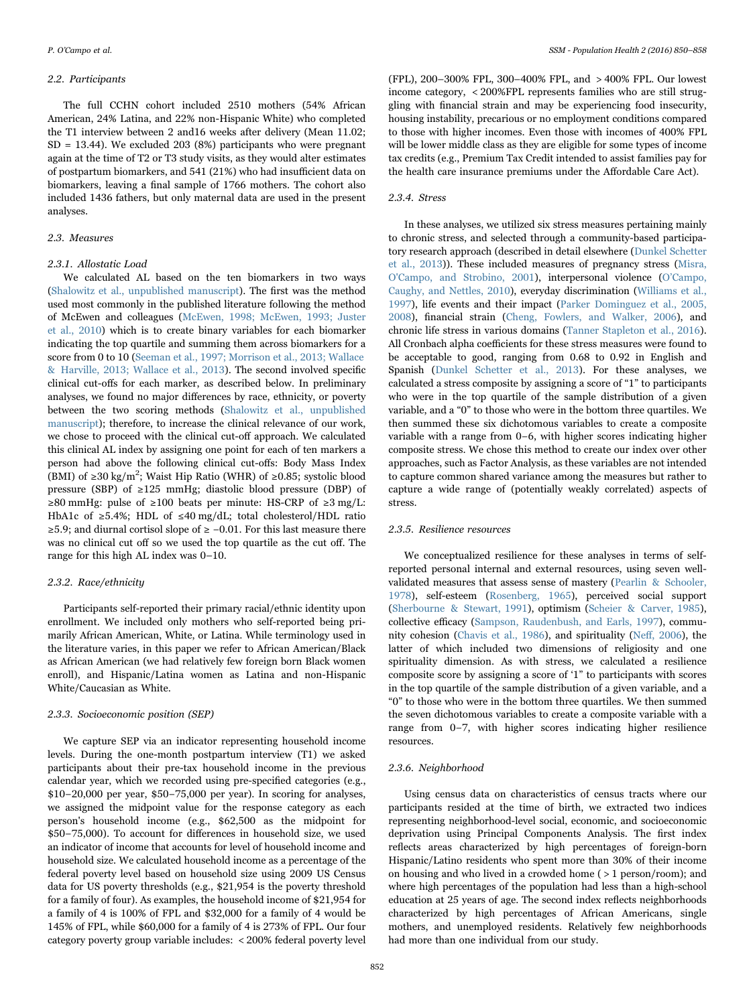#### 2.2. Participants

The full CCHN cohort included 2510 mothers (54% African American, 24% Latina, and 22% non-Hispanic White) who completed the T1 interview between 2 and16 weeks after delivery (Mean 11.02; SD = 13.44). We excluded 203 (8%) participants who were pregnant again at the time of T2 or T3 study visits, as they would alter estimates of postpartum biomarkers, and 541 (21%) who had insufficient data on biomarkers, leaving a final sample of 1766 mothers. The cohort also included 1436 fathers, but only maternal data are used in the present analyses.

#### 2.3. Measures

#### 2.3.1. Allostatic Load

We calculated AL based on the ten biomarkers in two ways ([Shalowitz et al., unpublished manuscript\)](#page-7-16). The first was the method used most commonly in the published literature following the method of McEwen and colleagues ([McEwen, 1998; McEwen, 1993; Juster](#page-7-2) [et al., 2010](#page-7-2)) which is to create binary variables for each biomarker indicating the top quartile and summing them across biomarkers for a score from 0 to 10 ([Seeman et al., 1997; Morrison et al., 2013; Wallace](#page-7-17) [& Harville, 2013; Wallace et al., 2013](#page-7-17)). The second involved specific clinical cut-offs for each marker, as described below. In preliminary analyses, we found no major differences by race, ethnicity, or poverty between the two scoring methods [\(Shalowitz et al., unpublished](#page-7-16) [manuscript\)](#page-7-16); therefore, to increase the clinical relevance of our work, we chose to proceed with the clinical cut-off approach. We calculated this clinical AL index by assigning one point for each of ten markers a person had above the following clinical cut-offs: Body Mass Index (BMI) of ≥30 kg/m<sup>2</sup>; Waist Hip Ratio (WHR) of ≥0.85; systolic blood pressure (SBP) of ≥125 mmHg; diastolic blood pressure (DBP) of ≥80 mmHg: pulse of ≥100 beats per minute: HS-CRP of ≥3 mg/L: HbA1c of ≥5.4%; HDL of ≤40 mg/dL; total cholesterol/HDL ratio ≥5.9; and diurnal cortisol slope of ≥ −0.01. For this last measure there was no clinical cut off so we used the top quartile as the cut off. The range for this high AL index was 0–10.

#### 2.3.2. Race/ethnicity

Participants self-reported their primary racial/ethnic identity upon enrollment. We included only mothers who self-reported being primarily African American, White, or Latina. While terminology used in the literature varies, in this paper we refer to African American/Black as African American (we had relatively few foreign born Black women enroll), and Hispanic/Latina women as Latina and non-Hispanic White/Caucasian as White.

#### 2.3.3. Socioeconomic position (SEP)

We capture SEP via an indicator representing household income levels. During the one-month postpartum interview (T1) we asked participants about their pre-tax household income in the previous calendar year, which we recorded using pre-specified categories (e.g., \$10−20,000 per year, \$50−75,000 per year). In scoring for analyses, we assigned the midpoint value for the response category as each person's household income (e.g., \$62,500 as the midpoint for \$50−75,000). To account for differences in household size, we used an indicator of income that accounts for level of household income and household size. We calculated household income as a percentage of the federal poverty level based on household size using 2009 US Census data for US poverty thresholds (e.g., \$21,954 is the poverty threshold for a family of four). As examples, the household income of \$21,954 for a family of 4 is 100% of FPL and \$32,000 for a family of 4 would be 145% of FPL, while \$60,000 for a family of 4 is 273% of FPL. Our four category poverty group variable includes: < 200% federal poverty level

(FPL), 200–300% FPL, 300–400% FPL, and > 400% FPL. Our lowest income category, < 200%FPL represents families who are still struggling with financial strain and may be experiencing food insecurity, housing instability, precarious or no employment conditions compared to those with higher incomes. Even those with incomes of 400% FPL will be lower middle class as they are eligible for some types of income tax credits (e.g., Premium Tax Credit intended to assist families pay for the health care insurance premiums under the Affordable Care Act).

## 2.3.4. Stress

In these analyses, we utilized six stress measures pertaining mainly to chronic stress, and selected through a community-based participatory research approach (described in detail elsewhere ([Dunkel Schetter](#page-7-18) [et al., 2013](#page-7-18))). These included measures of pregnancy stress [\(Misra,](#page-7-19) [O'Campo, and Strobino, 2001\)](#page-7-19), interpersonal violence (O'[Campo,](#page-7-20) [Caughy, and Nettles, 2010\)](#page-7-20), everyday discrimination ([Williams et al.,](#page-7-21) [1997\)](#page-7-21), life events and their impact [\(Parker Dominguez et al., 2005,](#page-7-22) [2008\)](#page-7-22), financial strain (Cheng, [Fowlers, and Walker, 2006\)](#page-7-23), and chronic life stress in various domains [\(Tanner Stapleton et al., 2016\)](#page-7-24). All Cronbach alpha coefficients for these stress measures were found to be acceptable to good, ranging from 0.68 to 0.92 in English and Spanish ([Dunkel Schetter et al., 2013\)](#page-7-18). For these analyses, we calculated a stress composite by assigning a score of "1" to participants who were in the top quartile of the sample distribution of a given variable, and a "0" to those who were in the bottom three quartiles. We then summed these six dichotomous variables to create a composite variable with a range from 0−6, with higher scores indicating higher composite stress. We chose this method to create our index over other approaches, such as Factor Analysis, as these variables are not intended to capture common shared variance among the measures but rather to capture a wide range of (potentially weakly correlated) aspects of stress.

#### 2.3.5. Resilience resources

We conceptualized resilience for these analyses in terms of selfreported personal internal and external resources, using seven wellvalidated measures that assess sense of mastery [\(Pearlin & Schooler,](#page-7-25) [1978\)](#page-7-25), self-esteem [\(Rosenberg, 1965\)](#page-7-26), perceived social support ([Sherbourne & Stewart, 1991](#page-7-27)), optimism ([Scheier & Carver, 1985\)](#page-7-28), collective efficacy ([Sampson, Raudenbush, and Earls, 1997\)](#page-7-29), community cohesion [\(Chavis et al., 1986\)](#page-7-30), and spirituality (Neff[, 2006\)](#page-7-31), the latter of which included two dimensions of religiosity and one spirituality dimension. As with stress, we calculated a resilience composite score by assigning a score of '1" to participants with scores in the top quartile of the sample distribution of a given variable, and a "0" to those who were in the bottom three quartiles. We then summed the seven dichotomous variables to create a composite variable with a range from 0−7, with higher scores indicating higher resilience resources.

#### 2.3.6. Neighborhood

Using census data on characteristics of census tracts where our participants resided at the time of birth, we extracted two indices representing neighborhood-level social, economic, and socioeconomic deprivation using Principal Components Analysis. The first index reflects areas characterized by high percentages of foreign-born Hispanic/Latino residents who spent more than 30% of their income on housing and who lived in a crowded home ( > 1 person/room); and where high percentages of the population had less than a high-school education at 25 years of age. The second index reflects neighborhoods characterized by high percentages of African Americans, single mothers, and unemployed residents. Relatively few neighborhoods had more than one individual from our study.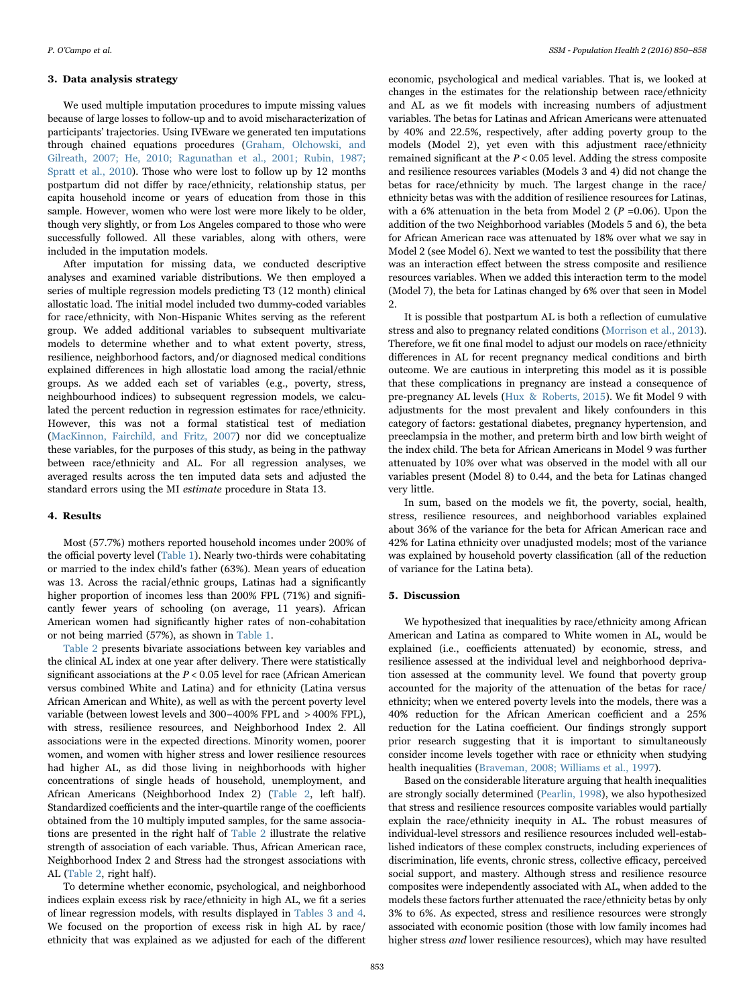#### 3. Data analysis strategy

We used multiple imputation procedures to impute missing values because of large losses to follow-up and to avoid mischaracterization of participants' trajectories. Using IVEware we generated ten imputations through chained equations procedures ([Graham, Olchowski, and](#page-7-32) [Gilreath, 2007; He, 2010; Ragunathan et al., 2001; Rubin, 1987;](#page-7-32) [Spratt et al., 2010](#page-7-32)). Those who were lost to follow up by 12 months postpartum did not differ by race/ethnicity, relationship status, per capita household income or years of education from those in this sample. However, women who were lost were more likely to be older, though very slightly, or from Los Angeles compared to those who were successfully followed. All these variables, along with others, were included in the imputation models.

After imputation for missing data, we conducted descriptive analyses and examined variable distributions. We then employed a series of multiple regression models predicting T3 (12 month) clinical allostatic load. The initial model included two dummy-coded variables for race/ethnicity, with Non-Hispanic Whites serving as the referent group. We added additional variables to subsequent multivariate models to determine whether and to what extent poverty, stress, resilience, neighborhood factors, and/or diagnosed medical conditions explained differences in high allostatic load among the racial/ethnic groups. As we added each set of variables (e.g., poverty, stress, neighbourhood indices) to subsequent regression models, we calculated the percent reduction in regression estimates for race/ethnicity. However, this was not a formal statistical test of mediation ([MacKinnon, Fairchild, and Fritz, 2007](#page-7-33)) nor did we conceptualize these variables, for the purposes of this study, as being in the pathway between race/ethnicity and AL. For all regression analyses, we averaged results across the ten imputed data sets and adjusted the standard errors using the MI estimate procedure in Stata 13.

#### 4. Results

Most (57.7%) mothers reported household incomes under 200% of the official poverty level [\(Table 1](#page-4-0)). Nearly two-thirds were cohabitating or married to the index child's father (63%). Mean years of education was 13. Across the racial/ethnic groups, Latinas had a significantly higher proportion of incomes less than 200% FPL (71%) and significantly fewer years of schooling (on average, 11 years). African American women had significantly higher rates of non-cohabitation or not being married (57%), as shown in [Table 1.](#page-4-0)

[Table 2](#page-4-1) presents bivariate associations between key variables and the clinical AL index at one year after delivery. There were statistically significant associations at the  $P < 0.05$  level for race (African American versus combined White and Latina) and for ethnicity (Latina versus African American and White), as well as with the percent poverty level variable (between lowest levels and 300−400% FPL and > 400% FPL), with stress, resilience resources, and Neighborhood Index 2. All associations were in the expected directions. Minority women, poorer women, and women with higher stress and lower resilience resources had higher AL, as did those living in neighborhoods with higher concentrations of single heads of household, unemployment, and African Americans (Neighborhood Index 2) ([Table 2,](#page-4-1) left half). Standardized coefficients and the inter-quartile range of the coefficients obtained from the 10 multiply imputed samples, for the same associations are presented in the right half of [Table 2](#page-4-1) illustrate the relative strength of association of each variable. Thus, African American race, Neighborhood Index 2 and Stress had the strongest associations with AL [\(Table 2](#page-4-1), right half).

To determine whether economic, psychological, and neighborhood indices explain excess risk by race/ethnicity in high AL, we fit a series of linear regression models, with results displayed in [Tables 3 and 4.](#page-5-0) We focused on the proportion of excess risk in high AL by race/ ethnicity that was explained as we adjusted for each of the different

economic, psychological and medical variables. That is, we looked at changes in the estimates for the relationship between race/ethnicity and AL as we fit models with increasing numbers of adjustment variables. The betas for Latinas and African Americans were attenuated by 40% and 22.5%, respectively, after adding poverty group to the models (Model 2), yet even with this adjustment race/ethnicity remained significant at the  $P < 0.05$  level. Adding the stress composite and resilience resources variables (Models 3 and 4) did not change the betas for race/ethnicity by much. The largest change in the race/ ethnicity betas was with the addition of resilience resources for Latinas, with a 6% attenuation in the beta from Model 2 ( $P = 0.06$ ). Upon the addition of the two Neighborhood variables (Models 5 and 6), the beta for African American race was attenuated by 18% over what we say in Model 2 (see Model 6). Next we wanted to test the possibility that there was an interaction effect between the stress composite and resilience resources variables. When we added this interaction term to the model (Model 7), the beta for Latinas changed by 6% over that seen in Model 2.

It is possible that postpartum AL is both a reflection of cumulative stress and also to pregnancy related conditions ([Morrison et al., 2013\)](#page-7-34). Therefore, we fit one final model to adjust our models on race/ethnicity differences in AL for recent pregnancy medical conditions and birth outcome. We are cautious in interpreting this model as it is possible that these complications in pregnancy are instead a consequence of pre-pregnancy AL levels ([Hux & Roberts, 2015](#page-7-35)). We fit Model 9 with adjustments for the most prevalent and likely confounders in this category of factors: gestational diabetes, pregnancy hypertension, and preeclampsia in the mother, and preterm birth and low birth weight of the index child. The beta for African Americans in Model 9 was further attenuated by 10% over what was observed in the model with all our variables present (Model 8) to 0.44, and the beta for Latinas changed very little.

In sum, based on the models we fit, the poverty, social, health, stress, resilience resources, and neighborhood variables explained about 36% of the variance for the beta for African American race and 42% for Latina ethnicity over unadjusted models; most of the variance was explained by household poverty classification (all of the reduction of variance for the Latina beta).

#### 5. Discussion

We hypothesized that inequalities by race/ethnicity among African American and Latina as compared to White women in AL, would be explained (i.e., coefficients attenuated) by economic, stress, and resilience assessed at the individual level and neighborhood deprivation assessed at the community level. We found that poverty group accounted for the majority of the attenuation of the betas for race/ ethnicity; when we entered poverty levels into the models, there was a 40% reduction for the African American coefficient and a 25% reduction for the Latina coefficient. Our findings strongly support prior research suggesting that it is important to simultaneously consider income levels together with race or ethnicity when studying health inequalities [\(Braveman, 2008; Williams et al., 1997\)](#page-7-10).

Based on the considerable literature arguing that health inequalities are strongly socially determined ([Pearlin, 1998\)](#page-7-36), we also hypothesized that stress and resilience resources composite variables would partially explain the race/ethnicity inequity in AL. The robust measures of individual-level stressors and resilience resources included well-established indicators of these complex constructs, including experiences of discrimination, life events, chronic stress, collective efficacy, perceived social support, and mastery. Although stress and resilience resource composites were independently associated with AL, when added to the models these factors further attenuated the race/ethnicity betas by only 3% to 6%. As expected, stress and resilience resources were strongly associated with economic position (those with low family incomes had higher stress and lower resilience resources), which may have resulted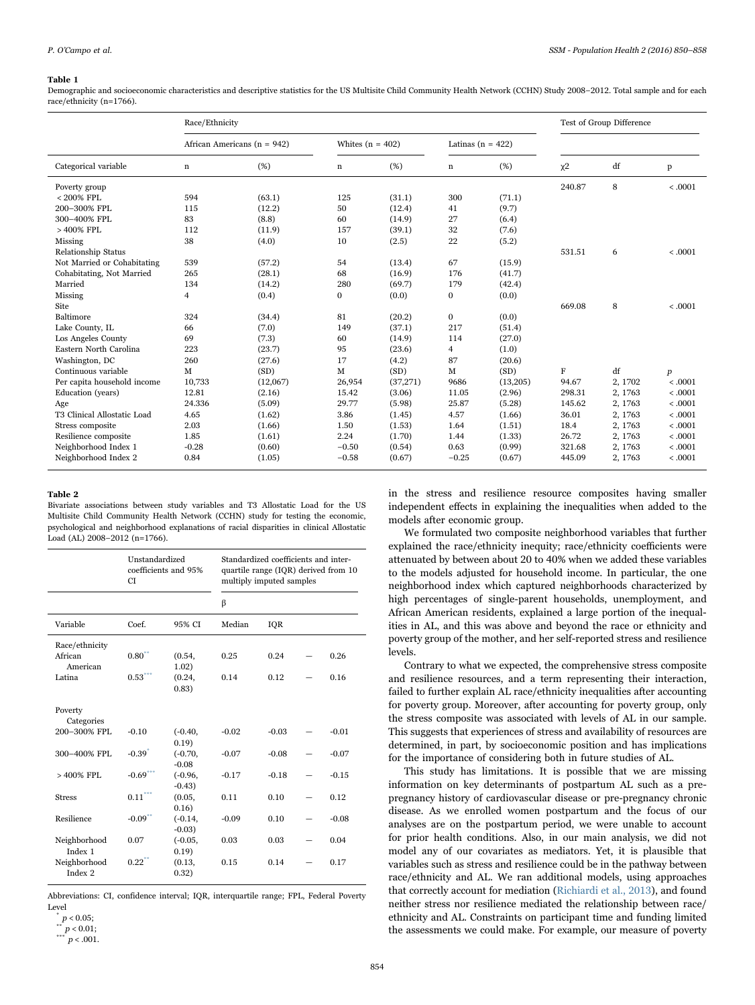#### <span id="page-4-0"></span>Table 1

Demographic and socioeconomic characteristics and descriptive statistics for the US Multisite Child Community Health Network (CCHN) Study 2008−2012. Total sample and for each race/ethnicity (n=1766).

|                             | Race/Ethnicity                  |          |                    |          |                       |          |        | Test of Group Difference |                  |  |
|-----------------------------|---------------------------------|----------|--------------------|----------|-----------------------|----------|--------|--------------------------|------------------|--|
|                             | African Americans ( $n = 942$ ) |          | Whites $(n = 402)$ |          | Latinas ( $n = 422$ ) |          |        |                          |                  |  |
| Categorical variable        | n                               | (%)      | n                  | (%)      | n                     | (%)      | $x^2$  | df                       | p                |  |
| Poverty group               |                                 |          |                    |          |                       |          | 240.87 | 8                        | < .0001          |  |
| $< 200\%$ FPL               | 594                             | (63.1)   | 125                | (31.1)   | 300                   | (71.1)   |        |                          |                  |  |
| 200-300% FPL                | 115                             | (12.2)   | 50                 | (12.4)   | 41                    | (9.7)    |        |                          |                  |  |
| 300-400% FPL                | 83                              | (8.8)    | 60                 | (14.9)   | 27                    | (6.4)    |        |                          |                  |  |
| $>400\%$ FPL                | 112                             | (11.9)   | 157                | (39.1)   | 32                    | (7.6)    |        |                          |                  |  |
| Missing                     | 38                              | (4.0)    | 10                 | (2.5)    | 22                    | (5.2)    |        |                          |                  |  |
| <b>Relationship Status</b>  |                                 |          |                    |          |                       |          | 531.51 | 6                        | < .0001          |  |
| Not Married or Cohabitating | 539                             | (57.2)   | 54                 | (13.4)   | 67                    | (15.9)   |        |                          |                  |  |
| Cohabitating, Not Married   | 265                             | (28.1)   | 68                 | (16.9)   | 176                   | (41.7)   |        |                          |                  |  |
| Married                     | 134                             | (14.2)   | 280                | (69.7)   | 179                   | (42.4)   |        |                          |                  |  |
| Missing                     | $\overline{4}$                  | (0.4)    | $\mathbf{0}$       | (0.0)    | $\mathbf{0}$          | (0.0)    |        |                          |                  |  |
| Site                        |                                 |          |                    |          |                       |          | 669.08 | 8                        | < .0001          |  |
| Baltimore                   | 324                             | (34.4)   | 81                 | (20.2)   | 0                     | (0.0)    |        |                          |                  |  |
| Lake County, IL             | 66                              | (7.0)    | 149                | (37.1)   | 217                   | (51.4)   |        |                          |                  |  |
| Los Angeles County          | 69                              | (7.3)    | 60                 | (14.9)   | 114                   | (27.0)   |        |                          |                  |  |
| Eastern North Carolina      | 223                             | (23.7)   | 95                 | (23.6)   | $\overline{4}$        | (1.0)    |        |                          |                  |  |
| Washington, DC              | 260                             | (27.6)   | 17                 | (4.2)    | 87                    | (20.6)   |        |                          |                  |  |
| Continuous variable         | M                               | (SD)     | M                  | (SD)     | M                     | (SD)     | F      | df                       | $\boldsymbol{p}$ |  |
| Per capita household income | 10,733                          | (12,067) | 26,954             | (37,271) | 9686                  | (13,205) | 94.67  | 2, 1702                  | < .0001          |  |
| Education (years)           | 12.81                           | (2.16)   | 15.42              | (3.06)   | 11.05                 | (2.96)   | 298.31 | 2, 1763                  | < .0001          |  |
| Age                         | 24.336                          | (5.09)   | 29.77              | (5.98)   | 25.87                 | (5.28)   | 145.62 | 2, 1763                  | < .0001          |  |
| T3 Clinical Allostatic Load | 4.65                            | (1.62)   | 3.86               | (1.45)   | 4.57                  | (1.66)   | 36.01  | 2, 1763                  | < .0001          |  |
| Stress composite            | 2.03                            | (1.66)   | 1.50               | (1.53)   | 1.64                  | (1.51)   | 18.4   | 2, 1763                  | < .0001          |  |
| Resilience composite        | 1.85                            | (1.61)   | 2.24               | (1.70)   | 1.44                  | (1.33)   | 26.72  | 2, 1763                  | < 0.001          |  |
| Neighborhood Index 1        | $-0.28$                         | (0.60)   | $-0.50$            | (0.54)   | 0.63                  | (0.99)   | 321.68 | 2, 1763                  | < .0001          |  |
| Neighborhood Index 2        | 0.84                            | (1.05)   | $-0.58$            | (0.67)   | $-0.25$               | (0.67)   | 445.09 | 2, 1763                  | < .0001          |  |

#### <span id="page-4-1"></span>Table 2

Bivariate associations between study variables and T3 Allostatic Load for the US Multisite Child Community Health Network (CCHN) study for testing the economic, psychological and neighborhood explanations of racial disparities in clinical Allostatic Load (AL) 2008−2012 (n=1766).

|                                                    | Unstandardized<br>coefficients and 95%<br>СI |                                       | Standardized coefficients and inter-<br>quartile range (IQR) derived from 10<br>multiply imputed samples |              |  |              |  |
|----------------------------------------------------|----------------------------------------------|---------------------------------------|----------------------------------------------------------------------------------------------------------|--------------|--|--------------|--|
|                                                    |                                              |                                       | β                                                                                                        |              |  |              |  |
| Variable                                           | Coef.                                        | 95% CI                                | Median                                                                                                   | IOR          |  |              |  |
| Race/ethnicity<br>African<br>American<br>Latina    | $0.80^{10}$<br>$0.53***$                     | (0.54,<br>1.02)<br>(0.24,<br>(0.83)   | 0.25<br>0.14                                                                                             | 0.24<br>0.12 |  | 0.26<br>0.16 |  |
| Poverty<br>Categories<br>200-300% FPL              | $-0.10$                                      | $(-0.40,$<br>(0.19)                   | $-0.02$                                                                                                  | $-0.03$      |  | $-0.01$      |  |
| 300-400% FPL                                       | $-0.39$ <sup>*</sup>                         | $(-0.70,$<br>$-0.08$                  | $-0.07$                                                                                                  | $-0.08$      |  | $-0.07$      |  |
| > 400% FPL                                         | $-0.69$ ***                                  | $(-0.96,$<br>$-0.43)$                 | $-0.17$                                                                                                  | $-0.18$      |  | $-0.15$      |  |
| <b>Stress</b>                                      | $0.11***$                                    | (0.05,<br>0.16)                       | 0.11                                                                                                     | 0.10         |  | 0.12         |  |
| Resilience                                         | $-0.09$ **                                   | $(-0.14,$<br>$-0.03$ )                | $-0.09$                                                                                                  | 0.10         |  | $-0.08$      |  |
| Neighborhood<br>Index 1<br>Neighborhood<br>Index 2 | 0.07<br>$0.22$ **                            | $(-0.05,$<br>0.19)<br>(0.13,<br>0.32) | 0.03<br>0.15                                                                                             | 0.03<br>0.14 |  | 0.04<br>0.17 |  |
|                                                    |                                              |                                       |                                                                                                          |              |  |              |  |

Abbreviations: CI, confidence interval; IQR, interquartile range; FPL, Federal Poverty Level

 $p < .001$ .

in the stress and resilience resource composites having smaller independent effects in explaining the inequalities when added to the models after economic group.

We formulated two composite neighborhood variables that further explained the race/ethnicity inequity; race/ethnicity coefficients were attenuated by between about 20 to 40% when we added these variables to the models adjusted for household income. In particular, the one neighborhood index which captured neighborhoods characterized by high percentages of single-parent households, unemployment, and African American residents, explained a large portion of the inequalities in AL, and this was above and beyond the race or ethnicity and poverty group of the mother, and her self-reported stress and resilience levels.

Contrary to what we expected, the comprehensive stress composite and resilience resources, and a term representing their interaction, failed to further explain AL race/ethnicity inequalities after accounting for poverty group. Moreover, after accounting for poverty group, only the stress composite was associated with levels of AL in our sample. This suggests that experiences of stress and availability of resources are determined, in part, by socioeconomic position and has implications for the importance of considering both in future studies of AL.

This study has limitations. It is possible that we are missing information on key determinants of postpartum AL such as a prepregnancy history of cardiovascular disease or pre-pregnancy chronic disease. As we enrolled women postpartum and the focus of our analyses are on the postpartum period, we were unable to account for prior health conditions. Also, in our main analysis, we did not model any of our covariates as mediators. Yet, it is plausible that variables such as stress and resilience could be in the pathway between race/ethnicity and AL. We ran additional models, using approaches that correctly account for mediation [\(Richiardi et al., 2013\)](#page-7-37), and found neither stress nor resilience mediated the relationship between race/ ethnicity and AL. Constraints on participant time and funding limited the assessments we could make. For example, our measure of poverty

 $\int_{0}^{x} p < 0.05;$ 

 $p < 0.01$ ;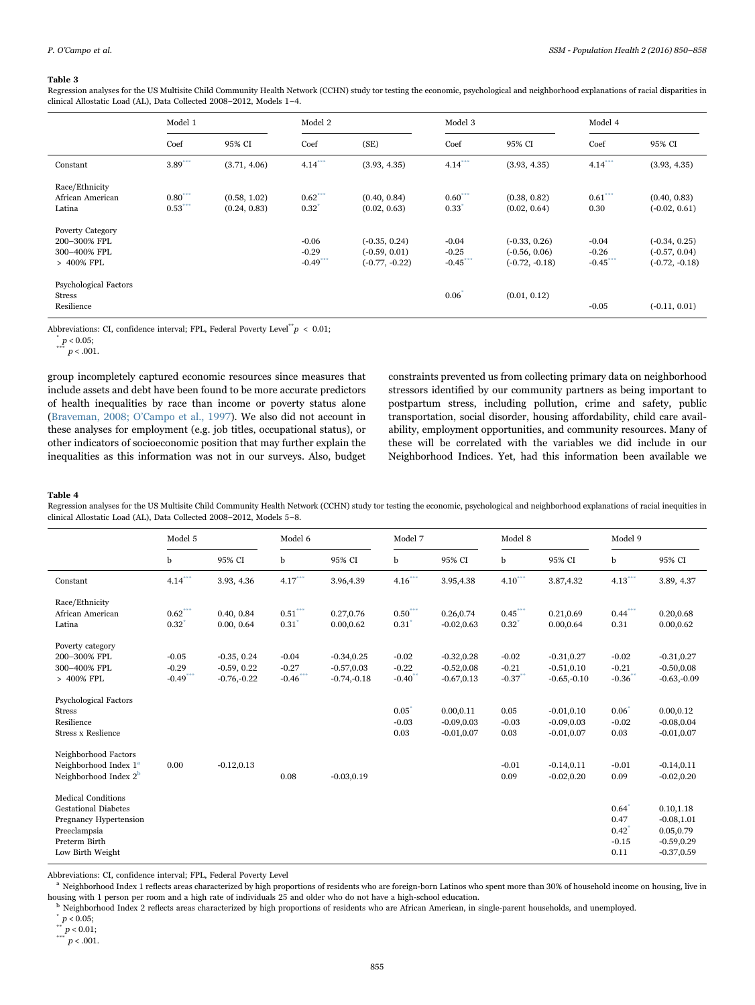#### <span id="page-5-0"></span>Table 3

Regression analyses for the US Multisite Child Community Health Network (CCHN) study tor testing the economic, psychological and neighborhood explanations of racial disparities in clinical Allostatic Load (AL), Data Collected 2008−2012, Models 1−4.

|                                                                         | Model 1                            |                              | Model 2                                      |                                                        | Model 3                                      |                                                        | Model 4                           |                                                        |
|-------------------------------------------------------------------------|------------------------------------|------------------------------|----------------------------------------------|--------------------------------------------------------|----------------------------------------------|--------------------------------------------------------|-----------------------------------|--------------------------------------------------------|
|                                                                         | Coef                               | 95% CI                       | Coef                                         | (SE)                                                   | Coef                                         | 95% CI                                                 | Coef                              | 95% CI                                                 |
| Constant                                                                | $3.89$ <sup>***</sup>              | (3.71, 4.06)                 | $4.14***$                                    | (3.93, 4.35)                                           | $4.14***$                                    | (3.93, 4.35)                                           | $4.14***$                         | (3.93, 4.35)                                           |
| Race/Ethnicity<br>African American<br>Latina                            | $0.80$ <sup>***</sup><br>$0.53***$ | (0.58, 1.02)<br>(0.24, 0.83) | $0.62$ <sup>***</sup><br>$0.32$ <sup>*</sup> | (0.40, 0.84)<br>(0.02, 0.63)                           | $0.60$ ***<br>0.33                           | (0.38, 0.82)<br>(0.02, 0.64)                           | $0.61$ ***<br>0.30                | (0.40, 0.83)<br>$(-0.02, 0.61)$                        |
| <b>Poverty Category</b><br>200-300% FPL<br>300-400% FPL<br>$>400\%$ FPL |                                    |                              | $-0.06$<br>$-0.29$<br>$-0.49$ <sup>***</sup> | $(-0.35, 0.24)$<br>$(-0.59, 0.01)$<br>$(-0.77, -0.22)$ | $-0.04$<br>$-0.25$<br>$-0.45$ <sup>***</sup> | $(-0.33, 0.26)$<br>$(-0.56, 0.06)$<br>$(-0.72, -0.18)$ | $-0.04$<br>$-0.26$<br>$-0.45$ *** | $(-0.34, 0.25)$<br>$(-0.57, 0.04)$<br>$(-0.72, -0.18)$ |
| Psychological Factors<br><b>Stress</b><br>Resilience                    |                                    |                              |                                              |                                                        | 0.06"                                        | (0.01, 0.12)                                           | $-0.05$                           | $(-0.11, 0.01)$                                        |

Abbreviations: CI, confidence interval; FPL, Federal Poverty Level\*\*p < 0.01;

 $p < 0.05$ ;  $p < .001.$ 

group incompletely captured economic resources since measures that include assets and debt have been found to be more accurate predictors of health inequalities by race than income or poverty status alone ([Braveman, 2008; O](#page-7-10)'Campo et al., 1997). We also did not account in these analyses for employment (e.g. job titles, occupational status), or other indicators of socioeconomic position that may further explain the inequalities as this information was not in our surveys. Also, budget

constraints prevented us from collecting primary data on neighborhood stressors identified by our community partners as being important to postpartum stress, including pollution, crime and safety, public transportation, social disorder, housing affordability, child care availability, employment opportunities, and community resources. Many of these will be correlated with the variables we did include in our Neighborhood Indices. Yet, had this information been available we

#### Table 4

Regression analyses for the US Multisite Child Community Health Network (CCHN) study tor testing the economic, psychological and neighborhood explanations of racial inequities in clinical Allostatic Load (AL), Data Collected 2008−2012, Models 5−8.

|                                                                                                                                         | Model 5                          |                                                 | Model 6                          |                                                 | Model 7                          |                                                 | Model 8                          |                                                 | Model 9                                             |                                                                           |
|-----------------------------------------------------------------------------------------------------------------------------------------|----------------------------------|-------------------------------------------------|----------------------------------|-------------------------------------------------|----------------------------------|-------------------------------------------------|----------------------------------|-------------------------------------------------|-----------------------------------------------------|---------------------------------------------------------------------------|
|                                                                                                                                         | b                                | 95% CI                                          | b                                | 95% CI                                          | b                                | 95% CI                                          | b                                | 95% CI                                          | $\mathbf b$                                         | 95% CI                                                                    |
| Constant                                                                                                                                | $4.14***$                        | 3.93, 4.36                                      | $4.17***$                        | 3.96,4.39                                       | $4.16***$                        | 3.95,4.38                                       | $4.10***$                        | 3.87,4.32                                       | $4.13***$                                           | 3.89, 4.37                                                                |
| Race/Ethnicity<br>African American<br>Latina                                                                                            | $0.62$ ***<br>0.32               | 0.40, 0.84<br>0.00, 0.64                        | $0.51***$<br>$0.31$ <sup>*</sup> | 0.27,0.76<br>0.00,0.62                          | $0.50^{\ast\ast\ast}$<br>0.31    | 0.26,0.74<br>$-0.02, 0.63$                      | $0.45***$<br>0.32                | 0.21,0.69<br>0.00,0.64                          | $0.44$ ***<br>0.31                                  | 0.20,0.68<br>0.00,0.62                                                    |
| Poverty category<br>200-300% FPL<br>300-400% FPL<br>> 400% FPL                                                                          | $-0.05$<br>$-0.29$<br>$-0.49***$ | $-0.35, 0.24$<br>$-0.59, 0.22$<br>$-0.76,-0.22$ | $-0.04$<br>$-0.27$<br>$-0.46$    | $-0.34, 0.25$<br>$-0.57, 0.03$<br>$-0.74,-0.18$ | $-0.02$<br>$-0.22$<br>$-0.40$ ** | $-0.32, 0.28$<br>$-0.52, 0.08$<br>$-0.67, 0.13$ | $-0.02$<br>$-0.21$<br>$-0.37$ ** | $-0.31, 0.27$<br>$-0.51, 0.10$<br>$-0.65,-0.10$ | $-0.02$<br>$-0.21$<br>$-0.36$                       | $-0.31, 0.27$<br>$-0.50, 0.08$<br>$-0.63,-0.09$                           |
| <b>Psychological Factors</b><br><b>Stress</b><br>Resilience<br><b>Stress x Reslience</b>                                                |                                  |                                                 |                                  |                                                 | $0.05^*$<br>$-0.03$<br>0.03      | 0.00, 0.11<br>$-0.09, 0.03$<br>$-0.01, 0.07$    | 0.05<br>$-0.03$<br>0.03          | $-0.01, 0.10$<br>$-0.09, 0.03$<br>$-0.01, 0.07$ | $0.06^*$<br>$-0.02$<br>0.03                         | 0.00,0.12<br>$-0.08, 0.04$<br>$-0.01, 0.07$                               |
| Neighborhood Factors<br>Neighborhood Index 1 <sup>ª</sup><br>Neighborhood Index 2 <sup>b</sup>                                          | 0.00                             | $-0.12, 0.13$                                   | 0.08                             | $-0.03, 0.19$                                   |                                  |                                                 | $-0.01$<br>0.09                  | $-0.14, 0.11$<br>$-0.02, 0.20$                  | $-0.01$<br>0.09                                     | $-0.14, 0.11$<br>$-0.02, 0.20$                                            |
| <b>Medical Conditions</b><br><b>Gestational Diabetes</b><br>Pregnancy Hypertension<br>Preeclampsia<br>Preterm Birth<br>Low Birth Weight |                                  |                                                 |                                  |                                                 |                                  |                                                 |                                  |                                                 | 0.64<br>0.47<br>$0.42^{\degree}$<br>$-0.15$<br>0.11 | 0.10,1.18<br>$-0.08, 1.01$<br>0.05,0.79<br>$-0.59, 0.29$<br>$-0.37, 0.59$ |

Abbreviations: CI, confidence interval; FPL, Federal Poverty Level

<sup>a</sup> Neighborhood Index 1 reflects areas characterized by high proportions of residents who are foreign-born Latinos who spent more than 30% of household income on housing, live in housing with 1 person per room and a high rate of individuals 25 and older who do not have a high-school education.

<sup>b</sup> Neighborhood Index 2 reflects areas characterized by high proportions of residents who are African American, in single-parent households, and unemployed.

 $p < 0.05$ ;

\*\*  $p < 0.01$ ;

 $p < .001.$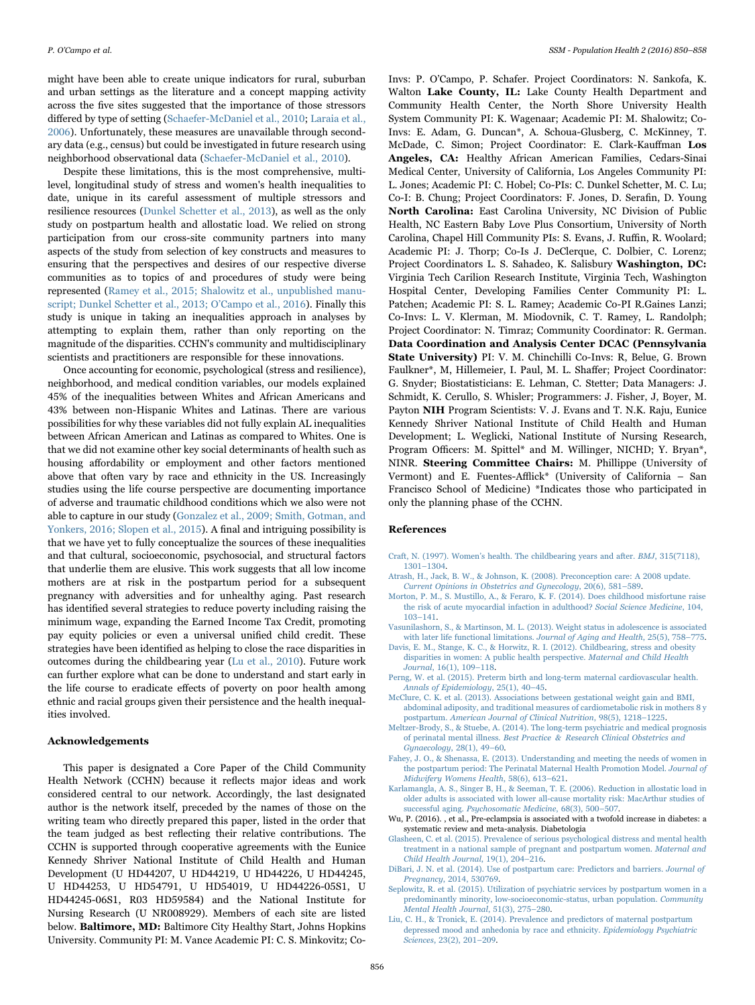might have been able to create unique indicators for rural, suburban and urban settings as the literature and a concept mapping activity across the five sites suggested that the importance of those stressors differed by type of setting [\(Schaefer-McDaniel et al., 2010;](#page-7-38) [Laraia et al.,](#page-7-39) [2006\)](#page-7-39). Unfortunately, these measures are unavailable through secondary data (e.g., census) but could be investigated in future research using neighborhood observational data [\(Schaefer-McDaniel et al., 2010\)](#page-7-38).

Despite these limitations, this is the most comprehensive, multilevel, longitudinal study of stress and women's health inequalities to date, unique in its careful assessment of multiple stressors and resilience resources [\(Dunkel Schetter et al., 2013](#page-7-18)), as well as the only study on postpartum health and allostatic load. We relied on strong participation from our cross-site community partners into many aspects of the study from selection of key constructs and measures to ensuring that the perspectives and desires of our respective diverse communities as to topics of and procedures of study were being represented [\(Ramey et al., 2015; Shalowitz et al., unpublished manu](#page-7-13)[script; Dunkel Schetter et al., 2013; O](#page-7-13)'Campo et al., 2016). Finally this study is unique in taking an inequalities approach in analyses by attempting to explain them, rather than only reporting on the magnitude of the disparities. CCHN's community and multidisciplinary scientists and practitioners are responsible for these innovations.

Once accounting for economic, psychological (stress and resilience), neighborhood, and medical condition variables, our models explained 45% of the inequalities between Whites and African Americans and 43% between non-Hispanic Whites and Latinas. There are various possibilities for why these variables did not fully explain AL inequalities between African American and Latinas as compared to Whites. One is that we did not examine other key social determinants of health such as housing affordability or employment and other factors mentioned above that often vary by race and ethnicity in the US. Increasingly studies using the life course perspective are documenting importance of adverse and traumatic childhood conditions which we also were not able to capture in our study [\(Gonzalez et al., 2009; Smith, Gotman, and](#page-7-40) [Yonkers, 2016; Slopen et al., 2015](#page-7-40)). A final and intriguing possibility is that we have yet to fully conceptualize the sources of these inequalities and that cultural, socioeconomic, psychosocial, and structural factors that underlie them are elusive. This work suggests that all low income mothers are at risk in the postpartum period for a subsequent pregnancy with adversities and for unhealthy aging. Past research has identified several strategies to reduce poverty including raising the minimum wage, expanding the Earned Income Tax Credit, promoting pay equity policies or even a universal unified child credit. These strategies have been identified as helping to close the race disparities in outcomes during the childbearing year ([Lu et al., 2010](#page-8-0)). Future work can further explore what can be done to understand and start early in the life course to eradicate effects of poverty on poor health among ethnic and racial groups given their persistence and the health inequalities involved.

#### Acknowledgements

This paper is designated a Core Paper of the Child Community Health Network (CCHN) because it reflects major ideas and work considered central to our network. Accordingly, the last designated author is the network itself, preceded by the names of those on the writing team who directly prepared this paper, listed in the order that the team judged as best reflecting their relative contributions. The CCHN is supported through cooperative agreements with the Eunice Kennedy Shriver National Institute of Child Health and Human Development (U HD44207, U HD44219, U HD44226, U HD44245, U HD44253, U HD54791, U HD54019, U HD44226-05S1, U HD44245-06S1, R03 HD59584) and the National Institute for Nursing Research (U NR008929). Members of each site are listed below. Baltimore, MD: Baltimore City Healthy Start, Johns Hopkins University. Community PI: M. Vance Academic PI: C. S. Minkovitz; Co-

Invs: P. O'Campo, P. Schafer. Project Coordinators: N. Sankofa, K. Walton Lake County, IL: Lake County Health Department and Community Health Center, the North Shore University Health System Community PI: K. Wagenaar; Academic PI: M. Shalowitz; Co-Invs: E. Adam, G. Duncan\*, A. Schoua-Glusberg, C. McKinney, T. McDade, C. Simon; Project Coordinator: E. Clark-Kauffman Los Angeles, CA: Healthy African American Families, Cedars-Sinai Medical Center, University of California, Los Angeles Community PI: L. Jones; Academic PI: C. Hobel; Co-PIs: C. Dunkel Schetter, M. C. Lu; Co-I: B. Chung; Project Coordinators: F. Jones, D. Serafin, D. Young North Carolina: East Carolina University, NC Division of Public Health, NC Eastern Baby Love Plus Consortium, University of North Carolina, Chapel Hill Community PIs: S. Evans, J. Ruffin, R. Woolard; Academic PI: J. Thorp; Co-Is J. DeClerque, C. Dolbier, C. Lorenz; Project Coordinators L. S. Sahadeo, K. Salisbury Washington, DC: Virginia Tech Carilion Research Institute, Virginia Tech, Washington Hospital Center, Developing Families Center Community PI: L. Patchen; Academic PI: S. L. Ramey; Academic Co-PI R.Gaines Lanzi; Co-Invs: L. V. Klerman, M. Miodovnik, C. T. Ramey, L. Randolph; Project Coordinator: N. Timraz; Community Coordinator: R. German. Data Coordination and Analysis Center DCAC (Pennsylvania State University) PI: V. M. Chinchilli Co-Invs: R, Belue, G. Brown Faulkner\*, M, Hillemeier, I. Paul, M. L. Shaffer; Project Coordinator: G. Snyder; Biostatisticians: E. Lehman, C. Stetter; Data Managers: J. Schmidt, K. Cerullo, S. Whisler; Programmers: J. Fisher, J, Boyer, M. Payton NIH Program Scientists: V. J. Evans and T. N.K. Raju, Eunice Kennedy Shriver National Institute of Child Health and Human Development; L. Weglicki, National Institute of Nursing Research, Program Officers: M. Spittel\* and M. Willinger, NICHD; Y. Bryan\*, NINR. Steering Committee Chairs: M. Phillippe (University of Vermont) and E. Fuentes-Afflick\* (University of California – San Francisco School of Medicine) \*Indicates those who participated in only the planning phase of the CCHN.

#### References

- <span id="page-6-0"></span>Craft, N. (1997). Women'[s health. The childbearing years and after.](http://refhub.elsevier.com/S2352-16)30125-sbref1) BMJ, 315(7118), 1301–[1304](http://refhub.elsevier.com/S2352-16)30125-sbref1).
- [Atrash, H., Jack, B. W., & Johnson, K. \(2008\). Preconception care: A 2008 update.](http://refhub.elsevier.com/S2352-16)30125-sbref2) [Current Opinions in Obstetrics and Gynecology](http://refhub.elsevier.com/S2352-16)30125-sbref2), 20(6), 581–589.
- <span id="page-6-1"></span>[Morton, P. M., S. Mustillo, A., & Feraro, K. F. \(2014\). Does childhood misfortune raise](http://refhub.elsevier.com/S2352-16)30125-sbref3) [the risk of acute myocardial infaction in adulthood?](http://refhub.elsevier.com/S2352-16)30125-sbref3) Social Science Medicine, 104, 103–[141](http://refhub.elsevier.com/S2352-16)30125-sbref3).
- [Vasunilashorn, S., & Martinson, M. L. \(2013\). Weight status in adolescence is associated](http://refhub.elsevier.com/S2352-16)30125-sbref4) [with later life functional limitations.](http://refhub.elsevier.com/S2352-16)30125-sbref4) Journal of Aging and Health, 25(5), 758–775.
- <span id="page-6-3"></span>[Davis, E. M., Stange, K. C., & Horwitz, R. I. \(2012\). Childbearing, stress and obesity](http://refhub.elsevier.com/S2352-16)30125-sbref5) [disparities in women: A public health perspective.](http://refhub.elsevier.com/S2352-16)30125-sbref5) Maternal and Child Health Journal[, 16\(1\), 109](http://refhub.elsevier.com/S2352-16)30125-sbref5)–118.
- [Perng, W. et al. \(2015\). Preterm birth and long-term maternal cardiovascular health.](http://refhub.elsevier.com/S2352-16)30125-sbref6) [Annals of Epidemiology](http://refhub.elsevier.com/S2352-16)30125-sbref6), 25(1), 40–45.
- [McClure, C. K. et al. \(2013\). Associations between gestational weight gain and BMI,](http://refhub.elsevier.com/S2352-16)30125-sbref7) [abdominal adiposity, and traditional measures of cardiometabolic risk in mothers 8 y](http://refhub.elsevier.com/S2352-16)30125-sbref7) postpartum. [American Journal of Clinical Nutrition](http://refhub.elsevier.com/S2352-16)30125-sbref7), 98(5), 1218–1225.
- <span id="page-6-2"></span>[Meltzer-Brody, S., & Stuebe, A. \(2014\). The long-term psychiatric and medical prognosis](http://refhub.elsevier.com/S2352-16)30125-sbref8) of perinatal mental illness. [Best Practice & Research Clinical Obstetrics and](http://refhub.elsevier.com/S2352-16)30125-sbref8) [Gynaecology](http://refhub.elsevier.com/S2352-16)30125-sbref8), 28(1), 49–60.
- [Fahey, J. O., & Shenassa, E. \(2013\). Understanding and meeting the needs of women in](http://refhub.elsevier.com/S2352-16)30125-sbref9) [the postpartum period: The Perinatal Maternal Health Promotion Model.](http://refhub.elsevier.com/S2352-16)30125-sbref9) Journal of [Midwifery Womens Health](http://refhub.elsevier.com/S2352-16)30125-sbref9), 58(6), 613–621.
- <span id="page-6-5"></span>[Karlamangla, A. S., Singer B, H., & Seeman, T. E. \(2006\). Reduction in allostatic load in](http://refhub.elsevier.com/S2352-16)30125-sbref10) [older adults is associated with lower all-cause mortality risk: MacArthur studies of](http://refhub.elsevier.com/S2352-16)30125-sbref10) successful aging. [Psychosomatic Medicine](http://refhub.elsevier.com/S2352-16)30125-sbref10), 68(3), 500–507.
- <span id="page-6-6"></span>Wu, P. (2016). , et al., Pre-eclampsia is associated with a twofold increase in diabetes: a systematic review and meta-analysis. Diabetologia
- <span id="page-6-4"></span>[Glasheen, C. et al. \(2015\). Prevalence of serious psychological distress and mental health](http://refhub.elsevier.com/S2352-16)30125-sbref11) [treatment in a national sample of pregnant and postpartum women.](http://refhub.elsevier.com/S2352-16)30125-sbref11) Maternal and [Child Health Journal](http://refhub.elsevier.com/S2352-16)30125-sbref11), 19(1), 204–216.
- [DiBari, J. N. et al. \(2014\). Use of postpartum care: Predictors and barriers.](http://refhub.elsevier.com/S2352-16)30125-sbref12) Journal of Pregnancy[, 2014, 530769](http://refhub.elsevier.com/S2352-16)30125-sbref12).
- [Seplowitz, R. et al. \(2015\). Utilization of psychiatric services by postpartum women in a](http://refhub.elsevier.com/S2352-16)30125-sbref13) [predominantly minority, low-socioeconomic-status, urban population.](http://refhub.elsevier.com/S2352-16)30125-sbref13) Community [Mental Health Journal](http://refhub.elsevier.com/S2352-16)30125-sbref13), 51(3), 275–280.
- [Liu, C. H., & Tronick, E. \(2014\). Prevalence and predictors of maternal postpartum](http://refhub.elsevier.com/S2352-16)30125-sbref14) [depressed mood and anhedonia by race and ethnicity.](http://refhub.elsevier.com/S2352-16)30125-sbref14) Epidemiology Psychiatric Sciences, [23\(2\), 201](http://refhub.elsevier.com/S2352-16)30125-sbref14)–209.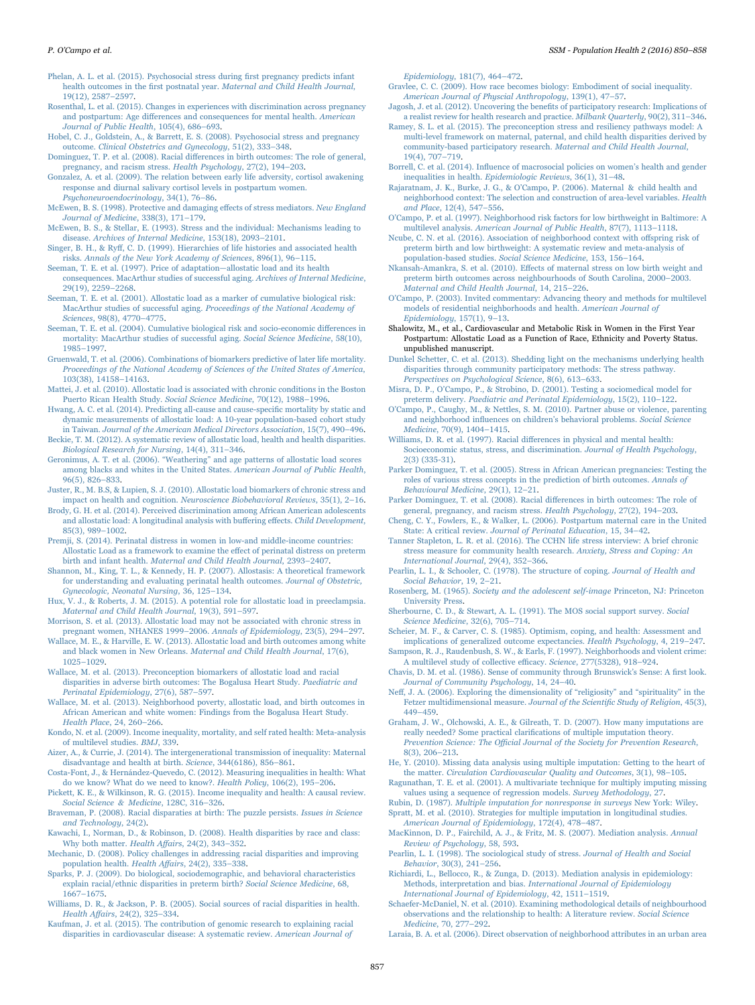- <span id="page-7-1"></span>[Phelan, A. L. et al. \(2015\). Psychosocial stress during](http://refhub.elsevier.com/S2352-16)30125-sbref15) first pregnancy predicts infant health outcomes in the first postnatal year. [Maternal and Child Health Journal](http://refhub.elsevier.com/S2352-16)30125-sbref15), [19\(12\), 2587](http://refhub.elsevier.com/S2352-16)30125-sbref15)–2597.
- <span id="page-7-0"></span>[Rosenthal, L. et al. \(2015\). Changes in experiences with discrimination across pregnancy](http://refhub.elsevier.com/S2352-16)30125-sbref16) and postpartum: Age diff[erences and consequences for mental health.](http://refhub.elsevier.com/S2352-16)30125-sbref16) American [Journal of Public Health](http://refhub.elsevier.com/S2352-16)30125-sbref16), 105(4), 686–693.
- [Hobel, C. J., Goldstein, A., & Barrett, E. S. \(2008\). Psychosocial stress and pregnancy](http://refhub.elsevier.com/S2352-16)30125-sbref17) outcome. [Clinical Obstetrics and Gynecology](http://refhub.elsevier.com/S2352-16)30125-sbref17), 51(2), 333–348.
- Dominguez, T. P. et al. (2008). Racial diff[erences in birth outcomes: The role of general,](http://refhub.elsevier.com/S2352-16)30125-sbref18) [pregnancy, and racism stress.](http://refhub.elsevier.com/S2352-16)30125-sbref18) Health Psychology, 27(2), 194–203.
- <span id="page-7-40"></span>[Gonzalez, A. et al. \(2009\). The relation between early life adversity, cortisol awakening](http://refhub.elsevier.com/S2352-16)30125-sbref19) [response and diurnal salivary cortisol levels in postpartum women.](http://refhub.elsevier.com/S2352-16)30125-sbref19) [Psychoneuroendocrinology](http://refhub.elsevier.com/S2352-16)30125-sbref19), 34(1), 76–86.
- <span id="page-7-2"></span>[McEwen, B. S. \(1998\). Protective and damaging e](http://refhub.elsevier.com/S2352-16)30125-sbref20)ffects of stress mediators. New England [Journal of Medicine](http://refhub.elsevier.com/S2352-16)30125-sbref20), 338(3), 171–179.
- [McEwen, B. S., & Stellar, E. \(1993\). Stress and the individual: Mechanisms leading to](http://refhub.elsevier.com/S2352-16)30125-sbref21) disease. [Archives of Internal Medicine](http://refhub.elsevier.com/S2352-16)30125-sbref21), 153(18), 2093–2101.
- <span id="page-7-3"></span>Singer, B. H., & Ryff[, C. D. \(1999\). Hierarchies of life histories and associated health](http://refhub.elsevier.com/S2352-16)30125-sbref22) risks. [Annals of the New York Academy of Sciences](http://refhub.elsevier.com/S2352-16)30125-sbref22), 896(1), 96–115.
- <span id="page-7-17"></span>[Seeman, T. E. et al. \(1997\). Price of adaptation](http://refhub.elsevier.com/S2352-16)30125-sbref23)—allostatic load and its health [consequences. MacArthur studies of successful aging.](http://refhub.elsevier.com/S2352-16)30125-sbref23) Archives of Internal Medicine, [29\(19\), 2259](http://refhub.elsevier.com/S2352-16)30125-sbref23)–2268.
- [Seeman, T. E. et al. \(2001\). Allostatic load as a marker of cumulative biological risk:](http://refhub.elsevier.com/S2352-16)30125-sbref24) MacArthur studies of successful aging. [Proceedings of the National Academy of](http://refhub.elsevier.com/S2352-16)30125-sbref24) Sciences[, 98\(8\), 4770](http://refhub.elsevier.com/S2352-16)30125-sbref24)–4775.
- [Seeman, T. E. et al. \(2004\). Cumulative biological risk and socio-economic di](http://refhub.elsevier.com/S2352-16)30125-sbref25)fferences in [mortality: MacArthur studies of successful aging.](http://refhub.elsevier.com/S2352-16)30125-sbref25) Social Science Medicine, 58(10), 1985–[1997](http://refhub.elsevier.com/S2352-16)30125-sbref25).
- [Gruenwald, T. et al. \(2006\). Combinations of biomarkers predictive of later life mortality.](http://refhub.elsevier.com/S2352-16)30125-sbref26) [Proceedings of the National Academy of Sciences of the United States of America](http://refhub.elsevier.com/S2352-16)30125-sbref26), [103\(38\), 14158](http://refhub.elsevier.com/S2352-16)30125-sbref26)–14163.
- <span id="page-7-4"></span>Mattei, [J. et al. \(2010\). Allostatic load is associated with chronic conditions in the Boston](http://refhub.elsevier.com/S2352-16)30125-sbref27) [Puerto Rican Health Study.](http://refhub.elsevier.com/S2352-16)30125-sbref27) Social Science Medicine, 70(12), 1988–1996.
- [Hwang, A. C. et al. \(2014\). Predicting all-cause and cause-speci](http://refhub.elsevier.com/S2352-16)30125-sbref28)fic mortality by static and [dynamic measurements of allostatic load: A 10-year population-based cohort study](http://refhub.elsevier.com/S2352-16)30125-sbref28) in Taiwan. [Journal of the American Medical Directors Association](http://refhub.elsevier.com/S2352-16)30125-sbref28), 15(7), 490–496.
- [Beckie, T. M. \(2012\). A systematic review of allostatic load, health and health disparities.](http://refhub.elsevier.com/S2352-16)30125-sbref29) [Biological Research for Nursing](http://refhub.elsevier.com/S2352-16)30125-sbref29), 14(4), 311–346.
- Geronimus, A. T. et al. (2006). "Weathering" [and age patterns of allostatic load scores](http://refhub.elsevier.com/S2352-16)30125-sbref30) [among blacks and whites in the United States.](http://refhub.elsevier.com/S2352-16)30125-sbref30) American Journal of Public Health, [96\(5\), 826](http://refhub.elsevier.com/S2352-16)30125-sbref30)–833.
- <span id="page-7-5"></span>[Juster, R., M. B.S, & Lupien, S. J. \(2010\). Allostatic load biomarkers of chronic stress and](http://refhub.elsevier.com/S2352-16)30125-sbref31) impact on health and cognition. [Neuroscience Biobehavioral Reviews](http://refhub.elsevier.com/S2352-16)30125-sbref31), 35(1), 2–16. [Brody, G. H. et al. \(2014\). Perceived discrimination among African American adolescents](http://refhub.elsevier.com/S2352-16)30125-sbref32)
- <span id="page-7-6"></span>[and allostatic load: A longitudinal analysis with bu](http://refhub.elsevier.com/S2352-16)30125-sbref32)ffering effects. Child Development, [85\(3\), 989](http://refhub.elsevier.com/S2352-16)30125-sbref32)–1002.
- <span id="page-7-7"></span>[Premji, S. \(2014\). Perinatal distress in women in low-and middle-income countries:](http://refhub.elsevier.com/S2352-16)30125-sbref33) [Allostatic Load as a framework to examine the e](http://refhub.elsevier.com/S2352-16)30125-sbref33)ffect of perinatal distress on preterm birth and infant health. [Maternal and Child Health Journal](http://refhub.elsevier.com/S2352-16)30125-sbref33), 2393–2407.
- [Shannon, M., King, T. L., & Kennedy, H. P. \(2007\). Allostasis: A theoretical framework](http://refhub.elsevier.com/S2352-16)30125-sbref34) [for understanding and evaluating perinatal health outcomes.](http://refhub.elsevier.com/S2352-16)30125-sbref34) Journal of Obstetric, [Gynecologic, Neonatal Nursing](http://refhub.elsevier.com/S2352-16)30125-sbref34), 36, 125–134.
- <span id="page-7-35"></span>[Hux, V. J., & Roberts, J. M. \(2015\). A potential role for allostatic load in preeclampsia.](http://refhub.elsevier.com/S2352-16)30125-sbref35) [Maternal and Child Health Journal](http://refhub.elsevier.com/S2352-16)30125-sbref35), 19(3), 591–597.
- <span id="page-7-34"></span>[Morrison, S. et al. \(2013\). Allostatic load may not be associated with chronic stress in](http://refhub.elsevier.com/S2352-16)30125-sbref36) [pregnant women, NHANES 1999](http://refhub.elsevier.com/S2352-16)30125-sbref36)–2006. Annals of Epidemiology, 23(5), 294–297. [Wallace, M. E., & Harville, E. W. \(2013\). Allostatic load and birth outcomes among white](http://refhub.elsevier.com/S2352-16)30125-sbref37)
- <span id="page-7-8"></span>and black women in New Orleans. [Maternal and Child Health Journal](http://refhub.elsevier.com/S2352-16)30125-sbref37), 17(6), 1025–[1029](http://refhub.elsevier.com/S2352-16)30125-sbref37).
- [Wallace, M. et al. \(2013\). Preconception biomarkers of allostatic load and racial](http://refhub.elsevier.com/S2352-16)30125-sbref38) [disparities in adverse birth outcomes: The Bogalusa Heart Study.](http://refhub.elsevier.com/S2352-16)30125-sbref38) Paediatric and [Perinatal Epidemiology](http://refhub.elsevier.com/S2352-16)30125-sbref38), 27(6), 587–597.
- [Wallace, M. et al. \(2013\). Neighborhood poverty, allostatic load, and birth outcomes in](http://refhub.elsevier.com/S2352-16)30125-sbref39) [African American and white women: Findings from the Bogalusa Heart Study.](http://refhub.elsevier.com/S2352-16)30125-sbref39) [Health Place](http://refhub.elsevier.com/S2352-16)30125-sbref39), 24, 260–266.
- <span id="page-7-9"></span>[Kondo, N. et al. \(2009\). Income inequality, mortality, and self rated health: Meta-analysis](http://refhub.elsevier.com/S2352-16)30125-sbref40) [of multilevel studies.](http://refhub.elsevier.com/S2352-16)30125-sbref40) BMJ, 339.
- [Aizer, A., & Currie, J. \(2014\). The intergenerational transmission of inequality: Maternal](http://refhub.elsevier.com/S2352-16)30125-sbref41) [disadvantage and health at birth.](http://refhub.elsevier.com/S2352-16)30125-sbref41) Science, 344(6186), 856–861.
- [Costa-Font, J., & Hernández-Quevedo, C. \(2012\). Measuring inequalities in health: What](http://refhub.elsevier.com/S2352-16)30125-sbref42) [do we know? What do we need to know?.](http://refhub.elsevier.com/S2352-16)30125-sbref42) Health Policy, 106(2), 195–206.
- [Pickett, K. E., & Wilkinson, R. G. \(2015\). Income inequality and health: A causal review.](http://refhub.elsevier.com/S2352-16)30125-sbref43) [Social Science & Medicine](http://refhub.elsevier.com/S2352-16)30125-sbref43), 128C, 316–326.
- <span id="page-7-10"></span>[Braveman, P. \(2008\). Racial disparaties at birth: The puzzle persists.](http://refhub.elsevier.com/S2352-16)30125-sbref44) Issues in Science [and Technology](http://refhub.elsevier.com/S2352-16)30125-sbref44), 24(2).
- <span id="page-7-11"></span>[Kawachi, I., Norman, D., & Robinson, D. \(2008\). Health disparities by race and class:](http://refhub.elsevier.com/S2352-16)30125-sbref45) [Why both matter.](http://refhub.elsevier.com/S2352-16)30125-sbref45) Health Affairs, 24(2), 343–352.
- [Mechanic, D. \(2008\). Policy challenges in addressing racial disparities and improving](http://refhub.elsevier.com/S2352-16)30125-sbref46) [population health.](http://refhub.elsevier.com/S2352-16)30125-sbref46) Health Affairs, 24(2), 335–338.
- [Sparks, P. J. \(2009\). Do biological, sociodemographic, and behavioral characteristics](http://refhub.elsevier.com/S2352-16)30125-sbref47) [explain racial/ethnic disparities in preterm birth?](http://refhub.elsevier.com/S2352-16)30125-sbref47) Social Science Medicine, 68, 1667–[1675](http://refhub.elsevier.com/S2352-16)30125-sbref47).
- [Williams, D. R., & Jackson, P. B. \(2005\). Social sources of racial disparities in health.](http://refhub.elsevier.com/S2352-16)30125-sbref48) Health Affairs[, 24\(2\), 325](http://refhub.elsevier.com/S2352-16)30125-sbref48)–334.
- [Kaufman, J. et al. \(2015\). The contribution of genomic research to explaining racial](http://refhub.elsevier.com/S2352-16)30125-sbref49) [disparities in cardiovascular disease: A systematic review.](http://refhub.elsevier.com/S2352-16)30125-sbref49) American Journal of

[Epidemiology](http://refhub.elsevier.com/S2352-16)30125-sbref49), 181(7), 464–472.

- [Gravlee, C. C. \(2009\). How race becomes biology: Embodiment of social inequality.](http://refhub.elsevier.com/S2352-16)30125-sbref50) [American Journal of Physcial Anthropology](http://refhub.elsevier.com/S2352-16)30125-sbref50), 139(1), 47–57.
- <span id="page-7-12"></span>[Jagosh, J. et al. \(2012\). Uncovering the bene](http://refhub.elsevier.com/S2352-16)30125-sbref51)fits of participatory research: Implications of [a realist review for health research and practice.](http://refhub.elsevier.com/S2352-16)30125-sbref51) Milbank Quarterly, 90(2), 311–346.
- <span id="page-7-13"></span>[Ramey, S. L. et al. \(2015\). The preconception stress and resiliency pathways model: A](http://refhub.elsevier.com/S2352-16)30125-sbref52) [multi-level framework on maternal, paternal, and child health disparities derived by](http://refhub.elsevier.com/S2352-16)30125-sbref52) [community-based participatory research.](http://refhub.elsevier.com/S2352-16)30125-sbref52) Maternal and Child Health Journal, [19\(4\), 707](http://refhub.elsevier.com/S2352-16)30125-sbref52)–719.
- <span id="page-7-14"></span>Borrell, C. et al. (2014). Infl[uence of macrosocial policies on women](http://refhub.elsevier.com/S2352-16)30125-sbref53)'s health and gender inequalities in health. [Epidemiologic Reviews](http://refhub.elsevier.com/S2352-16)30125-sbref53), 36(1), 31–48.
- Rajaratnam, J. K., Burke, J. G., & O'[Campo, P. \(2006\). Maternal & child health and](http://refhub.elsevier.com/S2352-16)30125-sbref54) [neighborhood context: The selection and construction of area-level variables.](http://refhub.elsevier.com/S2352-16)30125-sbref54) Health and Place[, 12\(4\), 547](http://refhub.elsevier.com/S2352-16)30125-sbref54)–556.
- O'[Campo, P. et al. \(1997\). Neighborhood risk factors for low birthweight in Baltimore: A](http://refhub.elsevier.com/S2352-16)30125-sbref55) multilevel analysis. [American Journal of Public Health](http://refhub.elsevier.com/S2352-16)30125-sbref55), 87(7), 1113–1118.
- [Ncube, C. N. et al. \(2016\). Association of neighborhood context with o](http://refhub.elsevier.com/S2352-16)30125-sbref56)ffspring risk of [preterm birth and low birthweight: A systematic review and meta-analysis of](http://refhub.elsevier.com/S2352-16)30125-sbref56) [population-based studies.](http://refhub.elsevier.com/S2352-16)30125-sbref56) Social Science Medicine, 153, 156–164.
- <span id="page-7-15"></span>Nkansah-Amankra, S. et al. (2010). Eff[ects of maternal stress on low birth weight and](http://refhub.elsevier.com/S2352-16)30125-sbref57) [preterm birth outcomes across neighbourhoods of South Carolina, 2000](http://refhub.elsevier.com/S2352-16)30125-sbref57)–2003. [Maternal and Child Health Journal](http://refhub.elsevier.com/S2352-16)30125-sbref57), 14, 215–226.
- O'[Campo, P. \(2003\). Invited commentary: Advancing theory and methods for multilevel](http://refhub.elsevier.com/S2352-16)30125-sbref58) [models of residential neighborhoods and health.](http://refhub.elsevier.com/S2352-16)30125-sbref58) American Journal of [Epidemiology](http://refhub.elsevier.com/S2352-16)30125-sbref58),  $157(1)$ ,  $9-13$ .
- <span id="page-7-16"></span>Shalowitz, M., et al., Cardiovascular and Metabolic Risk in Women in the First Year Postpartum: Allostatic Load as a Function of Race, Ethnicity and Poverty Status. unpublished manuscript.
- <span id="page-7-18"></span>[Dunkel Schetter, C. et al. \(2013\). Shedding light on the mechanisms underlying health](http://refhub.elsevier.com/S2352-16)30125-sbref59) [disparities through community participatory methods: The stress pathway.](http://refhub.elsevier.com/S2352-16)30125-sbref59) [Perspectives on Psychological Science](http://refhub.elsevier.com/S2352-16)30125-sbref59), 8(6), 613–633.
- <span id="page-7-19"></span>Misra, D. P., O'[Campo, P., & Strobino, D. \(2001\). Testing a sociomedical model for](http://refhub.elsevier.com/S2352-16)30125-sbref60) preterm delivery. [Paediatric and Perinatal Epidemiology](http://refhub.elsevier.com/S2352-16)30125-sbref60), 15(2), 110–122.
- <span id="page-7-20"></span>O'[Campo, P., Caughy, M., & Nettles, S. M. \(2010\). Partner abuse or violence, parenting](http://refhub.elsevier.com/S2352-16)30125-sbref61) and neighborhood influences on children'[s behavioral problems.](http://refhub.elsevier.com/S2352-16)30125-sbref61) Social Science Medicine[, 70\(9\), 1404](http://refhub.elsevier.com/S2352-16)30125-sbref61)–1415.
- <span id="page-7-21"></span>[Williams, D. R. et al. \(1997\). Racial di](http://refhub.elsevier.com/S2352-16)30125-sbref62)fferences in physical and mental health: [Socioeconomic status, stress, and discrimination.](http://refhub.elsevier.com/S2352-16)30125-sbref62) Journal of Health Psychology, [2\(3\) \(335-31\).](http://refhub.elsevier.com/S2352-16)30125-sbref62)
- <span id="page-7-22"></span>[Parker Dominguez, T. et al. \(2005\). Stress in African American pregnancies: Testing the](http://refhub.elsevier.com/S2352-16)30125-sbref63) [roles of various stress concepts in the prediction of birth outcomes.](http://refhub.elsevier.com/S2352-16)30125-sbref63) Annals of [Behavioural Medicine](http://refhub.elsevier.com/S2352-16)30125-sbref63), 29(1), 12–21.
- [Parker Dominguez, T. et al. \(2008\). Racial di](http://refhub.elsevier.com/S2352-16)30125-sbref64)fferences in birth outcomes: The role of [general, pregnancy, and racism stress.](http://refhub.elsevier.com/S2352-16)30125-sbref64) Health Psychology, 27(2), 194–203.
- <span id="page-7-23"></span>[Cheng, C. Y., Fowlers, E., & Walker, L. \(2006\). Postpartum maternal care in the United](http://refhub.elsevier.com/S2352-16)30125-sbref65) State: A critical review. [Journal of Perinatal Education](http://refhub.elsevier.com/S2352-16)30125-sbref65), 15, 34–42.
- <span id="page-7-24"></span>[Tanner Stapleton, L. R. et al. \(2016\). The CCHN life stress interview: A brief chronic](http://refhub.elsevier.com/S2352-16)30125-sbref66) [stress measure for community health research.](http://refhub.elsevier.com/S2352-16)30125-sbref66) Anxiety, Stress and Coping: An [International Journal](http://refhub.elsevier.com/S2352-16)30125-sbref66), 29(4), 352–366.
- <span id="page-7-25"></span>[Pearlin, L. I., & Schooler, C. \(1978\). The structure of coping.](http://refhub.elsevier.com/S2352-16)30125-sbref67) Journal of Health and [Social Behavior](http://refhub.elsevier.com/S2352-16)30125-sbref67), 19, 2–21.
- <span id="page-7-26"></span>Rosenberg, M. (1965). [Society and the adolescent self-image](http://refhub.elsevier.com/S2352-16)30125-sbref68) Princeton, NJ: Princeton [University Press](http://refhub.elsevier.com/S2352-16)30125-sbref68).
- <span id="page-7-27"></span>[Sherbourne, C. D., & Stewart, A. L. \(1991\). The MOS social support survey.](http://refhub.elsevier.com/S2352-16)30125-sbref69) Social [Science Medicine](http://refhub.elsevier.com/S2352-16)30125-sbref69), 32(6), 705–714.

<span id="page-7-28"></span>[Scheier, M. F., & Carver, C. S. \(1985\). Optimism, coping, and health: Assessment and](http://refhub.elsevier.com/S2352-16)30125-sbref70) [implications of generalized outcome expectancies.](http://refhub.elsevier.com/S2352-16)30125-sbref70) Health Psychology, 4, 219–247.

- <span id="page-7-29"></span>[Sampson, R. J., Raudenbush, S. W., & Earls, F. \(1997\). Neighborhoods and violent crime:](http://refhub.elsevier.com/S2352-16)30125-sbref71) [A multilevel study of collective e](http://refhub.elsevier.com/S2352-16)30125-sbref71)fficacy. Science, 277(5328), 918–924.
- <span id="page-7-30"></span>[Chavis, D. M. et al. \(1986\). Sense of community through Brunswick](http://refhub.elsevier.com/S2352-16)30125-sbref72)'s Sense: A first look. [Journal of Community Psychology](http://refhub.elsevier.com/S2352-16)30125-sbref72), 14, 24–40.
- <span id="page-7-31"></span>Neff[, J. A. \(2006\). Exploring the dimensionality of](http://refhub.elsevier.com/S2352-16)30125-sbref73) "religiosity" and "spirituality" in the [Fetzer multidimensional measure.](http://refhub.elsevier.com/S2352-16)30125-sbref73) Journal of the Scientific Study of Religion, 45(3), 449–[459](http://refhub.elsevier.com/S2352-16)30125-sbref73).
- <span id="page-7-32"></span>Graham, [J. W., Olchowski, A. E., & Gilreath, T. D. \(2007\). How many imputations are](http://refhub.elsevier.com/S2352-16)30125-sbref74) really needed? Some practical clarifi[cations of multiple imputation theory.](http://refhub.elsevier.com/S2352-16)30125-sbref74) Prevention Science: The Offi[cial Journal of the Society for Prevention Research](http://refhub.elsevier.com/S2352-16)30125-sbref74), [8\(3\), 206](http://refhub.elsevier.com/S2352-16)30125-sbref74)–213.
- [He, Y. \(2010\). Missing data analysis using multiple imputation: Getting to the heart of](http://refhub.elsevier.com/S2352-16)30125-sbref75) the matter. [Circulation Cardiovascular Quality and Outcomes](http://refhub.elsevier.com/S2352-16)30125-sbref75), 3(1), 98–105.
- [Ragunathan, T. E. et al. \(2001\). A multivariate technique for multiply imputing missing](http://refhub.elsevier.com/S2352-16)30125-sbref76) [values using a sequence of regression models.](http://refhub.elsevier.com/S2352-16)30125-sbref76) Survey Methodology, 27.
- Rubin, D. (1987). [Multiple imputation for nonresponse in surveys](http://refhub.elsevier.com/S2352-16)30125-sbref77) New York: Wiley. [Spratt, M. et al. \(2010\). Strategies for multiple imputation in longitudinal studies.](http://refhub.elsevier.com/S2352-16)30125-sbref78) [American Journal of Epidemiology](http://refhub.elsevier.com/S2352-16)30125-sbref78), 172(4), 478–487.
- <span id="page-7-33"></span>[MacKinnon, D. P., Fairchild, A. J., & Fritz, M. S. \(2007\). Mediation analysis.](http://refhub.elsevier.com/S2352-16)30125-sbref79) Annual [Review of Psychology](http://refhub.elsevier.com/S2352-16)30125-sbref79), 58, 593.
- <span id="page-7-36"></span>[Pearlin, L. I. \(1998\). The sociological study of stress.](http://refhub.elsevier.com/S2352-16)30125-sbref80) Journal of Health and Social Behavior[, 30\(3\), 241](http://refhub.elsevier.com/S2352-16)30125-sbref80)–256.
- <span id="page-7-37"></span>[Richiardi, L., Bellocco, R., & Zunga, D. \(2013\). Mediation analysis in epidemiology:](http://refhub.elsevier.com/S2352-16)30125-sbref81) Methods, interpretation and bias. [International Journal of Epidemiology](http://refhub.elsevier.com/S2352-16)30125-sbref81) [International Journal of Epidemiology](http://refhub.elsevier.com/S2352-16)30125-sbref81), 42, 1511–1519.
- <span id="page-7-38"></span>[Schaefer-McDaniel, N. et al. \(2010\). Examining methodological details of neighbourhood](http://refhub.elsevier.com/S2352-16)30125-sbref82) [observations and the relationship to health: A literature review.](http://refhub.elsevier.com/S2352-16)30125-sbref82) Social Science Medicine[, 70, 277](http://refhub.elsevier.com/S2352-16)30125-sbref82)–292.
- <span id="page-7-39"></span>[Laraia, B. A. et al. \(2006\). Direct observation of neighborhood attributes in an urban area](http://refhub.elsevier.com/S2352-16)30125-sbref83)